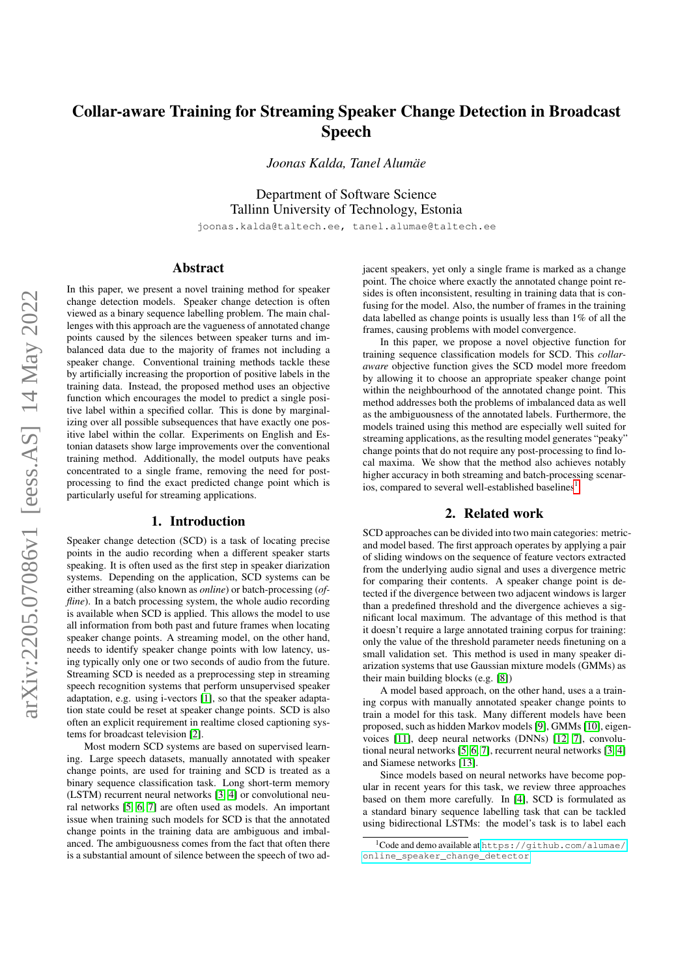# Collar-aware Training for Streaming Speaker Change Detection in Broadcast Speech

*Joonas Kalda, Tanel Alumae¨*

Department of Software Science Tallinn University of Technology, Estonia joonas.kalda@taltech.ee, tanel.alumae@taltech.ee

# Abstract

In this paper, we present a novel training method for speaker change detection models. Speaker change detection is often viewed as a binary sequence labelling problem. The main challenges with this approach are the vagueness of annotated change points caused by the silences between speaker turns and imbalanced data due to the majority of frames not including a speaker change. Conventional training methods tackle these by artificially increasing the proportion of positive labels in the training data. Instead, the proposed method uses an objective function which encourages the model to predict a single positive label within a specified collar. This is done by marginalizing over all possible subsequences that have exactly one positive label within the collar. Experiments on English and Estonian datasets show large improvements over the conventional training method. Additionally, the model outputs have peaks concentrated to a single frame, removing the need for postprocessing to find the exact predicted change point which is particularly useful for streaming applications.

### 1. Introduction

Speaker change detection (SCD) is a task of locating precise points in the audio recording when a different speaker starts speaking. It is often used as the first step in speaker diarization systems. Depending on the application, SCD systems can be either streaming (also known as *online*) or batch-processing (*offline*). In a batch processing system, the whole audio recording is available when SCD is applied. This allows the model to use all information from both past and future frames when locating speaker change points. A streaming model, on the other hand, needs to identify speaker change points with low latency, using typically only one or two seconds of audio from the future. Streaming SCD is needed as a preprocessing step in streaming speech recognition systems that perform unsupervised speaker adaptation, e.g. using i-vectors [\[1\]](#page-5-0), so that the speaker adaptation state could be reset at speaker change points. SCD is also often an explicit requirement in realtime closed captioning systems for broadcast television [\[2\]](#page-5-1).

Most modern SCD systems are based on supervised learning. Large speech datasets, manually annotated with speaker change points, are used for training and SCD is treated as a binary sequence classification task. Long short-term memory (LSTM) recurrent neural networks [\[3,](#page-5-2) [4\]](#page-5-3) or convolutional neural networks [\[5,](#page-5-4) [6,](#page-5-5) [7\]](#page-5-6) are often used as models. An important issue when training such models for SCD is that the annotated change points in the training data are ambiguous and imbalanced. The ambiguousness comes from the fact that often there is a substantial amount of silence between the speech of two adjacent speakers, yet only a single frame is marked as a change point. The choice where exactly the annotated change point resides is often inconsistent, resulting in training data that is confusing for the model. Also, the number of frames in the training data labelled as change points is usually less than 1% of all the frames, causing problems with model convergence.

In this paper, we propose a novel objective function for training sequence classification models for SCD. This *collaraware* objective function gives the SCD model more freedom by allowing it to choose an appropriate speaker change point within the neighbourhood of the annotated change point. This method addresses both the problems of imbalanced data as well as the ambiguousness of the annotated labels. Furthermore, the models trained using this method are especially well suited for streaming applications, as the resulting model generates "peaky" change points that do not require any post-processing to find local maxima. We show that the method also achieves notably higher accuracy in both streaming and batch-processing scenar-ios, compared to several well-established baselines<sup>[1](#page-0-0)</sup>.

### 2. Related work

SCD approaches can be divided into two main categories: metricand model based. The first approach operates by applying a pair of sliding windows on the sequence of feature vectors extracted from the underlying audio signal and uses a divergence metric for comparing their contents. A speaker change point is detected if the divergence between two adjacent windows is larger than a predefined threshold and the divergence achieves a significant local maximum. The advantage of this method is that it doesn't require a large annotated training corpus for training: only the value of the threshold parameter needs finetuning on a small validation set. This method is used in many speaker diarization systems that use Gaussian mixture models (GMMs) as their main building blocks (e.g. [\[8\]](#page-5-7))

A model based approach, on the other hand, uses a a training corpus with manually annotated speaker change points to train a model for this task. Many different models have been proposed, such as hidden Markov models [\[9\]](#page-5-8), GMMs [\[10\]](#page-5-9), eigenvoices [\[11\]](#page-5-10), deep neural networks (DNNs) [\[12,](#page-6-0) [7\]](#page-5-6), convolutional neural networks [\[5,](#page-5-4) [6,](#page-5-5) [7\]](#page-5-6), recurrent neural networks [\[3,](#page-5-2) [4\]](#page-5-3) and Siamese networks [\[13\]](#page-6-1).

Since models based on neural networks have become popular in recent years for this task, we review three approaches based on them more carefully. In [\[4\]](#page-5-3), SCD is formulated as a standard binary sequence labelling task that can be tackled using bidirectional LSTMs: the model's task is to label each

<span id="page-0-0"></span><sup>&</sup>lt;sup>1</sup>Code and demo available at [https://github.com/alumae/](https://github.com/alumae/online_speaker_change_detector) [online\\_speaker\\_change\\_detector](https://github.com/alumae/online_speaker_change_detector)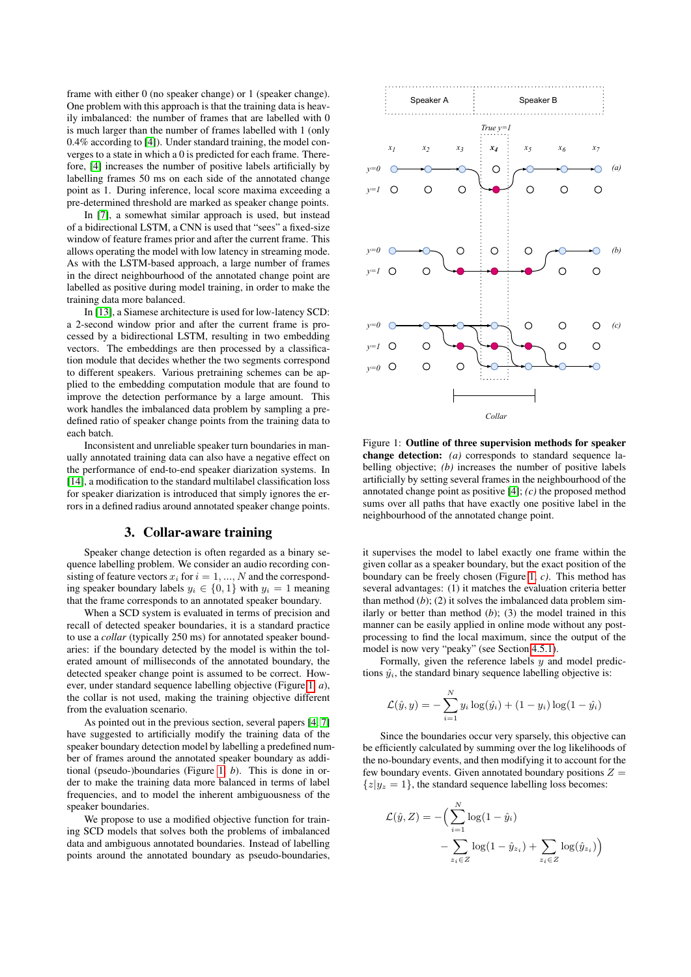frame with either 0 (no speaker change) or 1 (speaker change). One problem with this approach is that the training data is heavily imbalanced: the number of frames that are labelled with 0 is much larger than the number of frames labelled with 1 (only 0.4% according to [\[4\]](#page-5-3)). Under standard training, the model converges to a state in which a 0 is predicted for each frame. Therefore, [\[4\]](#page-5-3) increases the number of positive labels artificially by labelling frames 50 ms on each side of the annotated change point as 1. During inference, local score maxima exceeding a pre-determined threshold are marked as speaker change points.

In [\[7\]](#page-5-6), a somewhat similar approach is used, but instead of a bidirectional LSTM, a CNN is used that "sees" a fixed-size window of feature frames prior and after the current frame. This allows operating the model with low latency in streaming mode. As with the LSTM-based approach, a large number of frames in the direct neighbourhood of the annotated change point are labelled as positive during model training, in order to make the training data more balanced.

In [\[13\]](#page-6-1), a Siamese architecture is used for low-latency SCD: a 2-second window prior and after the current frame is processed by a bidirectional LSTM, resulting in two embedding vectors. The embeddings are then processed by a classification module that decides whether the two segments correspond to different speakers. Various pretraining schemes can be applied to the embedding computation module that are found to improve the detection performance by a large amount. This work handles the imbalanced data problem by sampling a predefined ratio of speaker change points from the training data to each batch.

Inconsistent and unreliable speaker turn boundaries in manually annotated training data can also have a negative effect on the performance of end-to-end speaker diarization systems. In [\[14\]](#page-6-2), a modification to the standard multilabel classification loss for speaker diarization is introduced that simply ignores the errors in a defined radius around annotated speaker change points.

## 3. Collar-aware training

Speaker change detection is often regarded as a binary sequence labelling problem. We consider an audio recording consisting of feature vectors  $x_i$  for  $i = 1, ..., N$  and the corresponding speaker boundary labels  $y_i \in \{0, 1\}$  with  $y_i = 1$  meaning that the frame corresponds to an annotated speaker boundary.

When a SCD system is evaluated in terms of precision and recall of detected speaker boundaries, it is a standard practice to use a *collar* (typically 250 ms) for annotated speaker boundaries: if the boundary detected by the model is within the tolerated amount of milliseconds of the annotated boundary, the detected speaker change point is assumed to be correct. However, under standard sequence labelling objective (Figure [1,](#page-1-0) *a*), the collar is not used, making the training objective different from the evaluation scenario.

As pointed out in the previous section, several papers [\[4,](#page-5-3) [7\]](#page-5-6) have suggested to artificially modify the training data of the speaker boundary detection model by labelling a predefined number of frames around the annotated speaker boundary as additional (pseudo-)boundaries (Figure [1,](#page-1-0) *b*). This is done in order to make the training data more balanced in terms of label frequencies, and to model the inherent ambiguousness of the speaker boundaries.

We propose to use a modified objective function for training SCD models that solves both the problems of imbalanced data and ambiguous annotated boundaries. Instead of labelling points around the annotated boundary as pseudo-boundaries,



<span id="page-1-0"></span>Figure 1: Outline of three supervision methods for speaker change detection: *(a)* corresponds to standard sequence labelling objective; *(b)* increases the number of positive labels artificially by setting several frames in the neighbourhood of the annotated change point as positive [\[4\]](#page-5-3); *(c)* the proposed method sums over all paths that have exactly one positive label in the neighbourhood of the annotated change point.

it supervises the model to label exactly one frame within the given collar as a speaker boundary, but the exact position of the boundary can be freely chosen (Figure [1,](#page-1-0) *c)*. This method has several advantages: (1) it matches the evaluation criteria better than method (*b*); (2) it solves the imbalanced data problem similarly or better than method  $(b)$ ; (3) the model trained in this manner can be easily applied in online mode without any postprocessing to find the local maximum, since the output of the model is now very "peaky" (see Section [4.5.1\)](#page-5-11).

Formally, given the reference labels  $y$  and model predictions  $\hat{y}_i$ , the standard binary sequence labelling objective is:

$$
\mathcal{L}(\hat{y}, y) = -\sum_{i=1}^{N} y_i \log(\hat{y}_i) + (1 - y_i) \log(1 - \hat{y}_i)
$$

Since the boundaries occur very sparsely, this objective can be efficiently calculated by summing over the log likelihoods of the no-boundary events, and then modifying it to account for the few boundary events. Given annotated boundary positions  $Z =$  ${z|y_z = 1}$ , the standard sequence labelling loss becomes:

$$
\mathcal{L}(\hat{y}, Z) = -\Big(\sum_{i=1}^{N} \log(1 - \hat{y}_i) - \sum_{z_i \in Z} \log(1 - \hat{y}_{z_i}) + \sum_{z_i \in Z} \log(\hat{y}_{z_i})\Big)
$$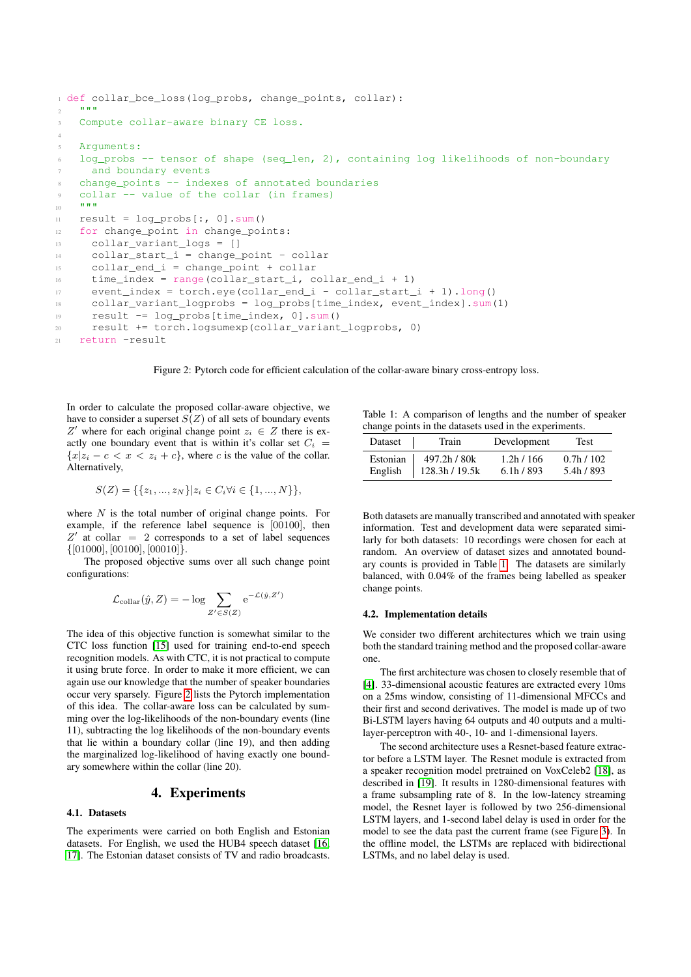```
1 def collar bce loss(log probs, change points, collar):
2 """"
3 Compute collar-aware binary CE loss.
4
5 Arguments:
   log_probs -- tensor of shape (seq_len, 2), containing log likelihoods of non-boundary
     and boundary events
   change_points -- indexes of annotated boundaries
   collar -- value of the collar (in frames)
1011 result = log_probs[:, 0].sum()
12 for change_point in change_points:
13 collar_variant_logs = []
14 collar_start_i = change_point - collar
15 collar_end_i = change_point + collar
16 time_index = range(collar_start_i, collar_end_i + 1)
17 event_index = torch.eye(collar_end_i - collar_start_i + 1).long()
18 collar_variant_logprobs = log_probs[time_index, event_index].sum(1)
19 result -= log_probs[time_index, 0].sum()
20 result += torch.logsumexp(collar_variant_logprobs, 0)
21 return -result
```
<span id="page-2-0"></span>Figure 2: Pytorch code for efficient calculation of the collar-aware binary cross-entropy loss.

In order to calculate the proposed collar-aware objective, we have to consider a superset  $S(Z)$  of all sets of boundary events Z' where for each original change point  $z_i \in Z$  there is exactly one boundary event that is within it's collar set  $C_i$  =  ${x|z_i - c < x < z_i + c}$ , where c is the value of the collar. Alternatively,

$$
S(Z) = \{ \{z_1, ..., z_N\} | z_i \in C_i \forall i \in \{1, ..., N\} \},
$$

where  $N$  is the total number of original change points. For example, if the reference label sequence is [00100], then  $Z'$  at collar = 2 corresponds to a set of label sequences  $\{[01000], [00100], [00010]\}.$ 

The proposed objective sums over all such change point configurations:

$$
\mathcal{L}_{\text{collar}}(\hat{y}, Z) = -\log \sum_{Z' \in S(Z)} e^{-\mathcal{L}(\hat{y}, Z')}
$$

The idea of this objective function is somewhat similar to the CTC loss function [\[15\]](#page-6-3) used for training end-to-end speech recognition models. As with CTC, it is not practical to compute it using brute force. In order to make it more efficient, we can again use our knowledge that the number of speaker boundaries occur very sparsely. Figure [2](#page-2-0) lists the Pytorch implementation of this idea. The collar-aware loss can be calculated by summing over the log-likelihoods of the non-boundary events (line 11), subtracting the log likelihoods of the non-boundary events that lie within a boundary collar (line 19), and then adding the marginalized log-likelihood of having exactly one boundary somewhere within the collar (line 20).

## 4. Experiments

# 4.1. Datasets

The experiments were carried on both English and Estonian datasets. For English, we used the HUB4 speech dataset [\[16,](#page-6-4) [17\]](#page-6-5). The Estonian dataset consists of TV and radio broadcasts.

<span id="page-2-1"></span>Table 1: A comparison of lengths and the number of speaker change points in the datasets used in the experiments.

| Dataset  | Train          | Development | Test       |
|----------|----------------|-------------|------------|
| Estonian | 497.2h / 80k   | 1.2h/166    | 0.7h/102   |
| English  | 128.3h / 19.5k | 6.1h/893    | 5.4h / 893 |

Both datasets are manually transcribed and annotated with speaker information. Test and development data were separated similarly for both datasets: 10 recordings were chosen for each at random. An overview of dataset sizes and annotated boundary counts is provided in Table [1.](#page-2-1) The datasets are similarly balanced, with 0.04% of the frames being labelled as speaker change points.

#### 4.2. Implementation details

We consider two different architectures which we train using both the standard training method and the proposed collar-aware one.

The first architecture was chosen to closely resemble that of [\[4\]](#page-5-3). 33-dimensional acoustic features are extracted every 10ms on a 25ms window, consisting of 11-dimensional MFCCs and their first and second derivatives. The model is made up of two Bi-LSTM layers having 64 outputs and 40 outputs and a multilayer-perceptron with 40-, 10- and 1-dimensional layers.

The second architecture uses a Resnet-based feature extractor before a LSTM layer. The Resnet module is extracted from a speaker recognition model pretrained on VoxCeleb2 [\[18\]](#page-6-6), as described in [\[19\]](#page-6-7). It results in 1280-dimensional features with a frame subsampling rate of 8. In the low-latency streaming model, the Resnet layer is followed by two 256-dimensional LSTM layers, and 1-second label delay is used in order for the model to see the data past the current frame (see Figure [3\)](#page-3-0). In the offline model, the LSTMs are replaced with bidirectional LSTMs, and no label delay is used.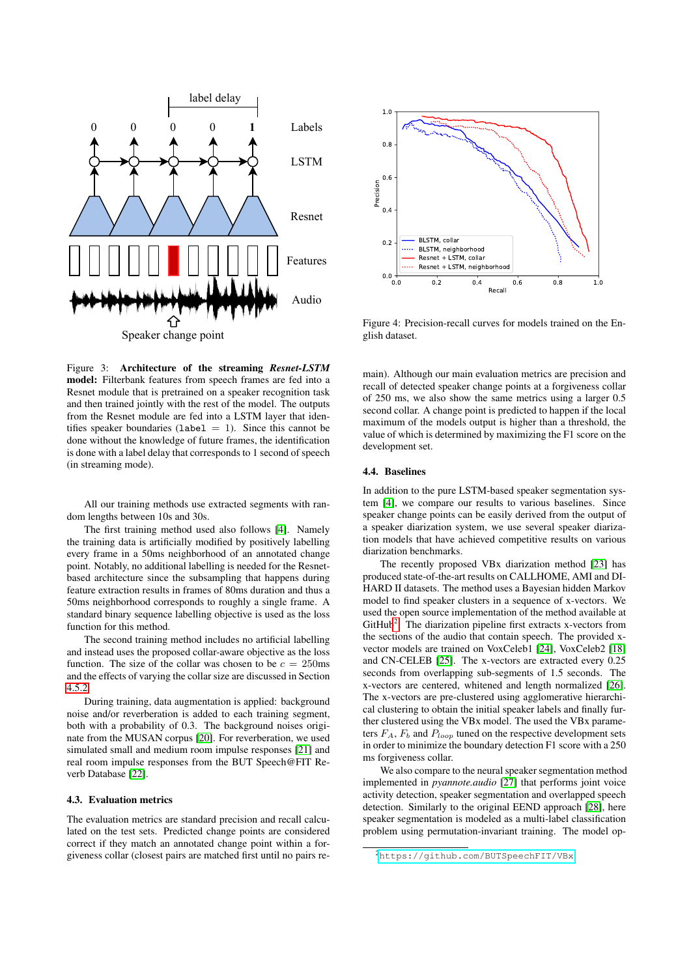

<span id="page-3-0"></span>Figure 3: Architecture of the streaming *Resnet-LSTM* model: Filterbank features from speech frames are fed into a Resnet module that is pretrained on a speaker recognition task and then trained jointly with the rest of the model. The outputs from the Resnet module are fed into a LSTM layer that identifies speaker boundaries ( $label = 1$ ). Since this cannot be done without the knowledge of future frames, the identification is done with a label delay that corresponds to 1 second of speech (in streaming mode).

All our training methods use extracted segments with random lengths between 10s and 30s.

The first training method used also follows [\[4\]](#page-5-3). Namely the training data is artificially modified by positively labelling every frame in a 50ms neighborhood of an annotated change point. Notably, no additional labelling is needed for the Resnetbased architecture since the subsampling that happens during feature extraction results in frames of 80ms duration and thus a 50ms neighborhood corresponds to roughly a single frame. A standard binary sequence labelling objective is used as the loss function for this method.

The second training method includes no artificial labelling and instead uses the proposed collar-aware objective as the loss function. The size of the collar was chosen to be  $c = 250$ ms and the effects of varying the collar size are discussed in Section [4.5.2.](#page-5-12)

During training, data augmentation is applied: background noise and/or reverberation is added to each training segment, both with a probability of 0.3. The background noises originate from the MUSAN corpus [\[20\]](#page-6-8). For reverberation, we used simulated small and medium room impulse responses [\[21\]](#page-6-9) and real room impulse responses from the BUT Speech@FIT Reverb Database [\[22\]](#page-6-10).

#### 4.3. Evaluation metrics

The evaluation metrics are standard precision and recall calculated on the test sets. Predicted change points are considered correct if they match an annotated change point within a forgiveness collar (closest pairs are matched first until no pairs re-



<span id="page-3-2"></span>Figure 4: Precision-recall curves for models trained on the English dataset.

main). Although our main evaluation metrics are precision and recall of detected speaker change points at a forgiveness collar of 250 ms, we also show the same metrics using a larger 0.5 second collar. A change point is predicted to happen if the local maximum of the models output is higher than a threshold, the value of which is determined by maximizing the F1 score on the development set.

#### 4.4. Baselines

In addition to the pure LSTM-based speaker segmentation system [\[4\]](#page-5-3), we compare our results to various baselines. Since speaker change points can be easily derived from the output of a speaker diarization system, we use several speaker diarization models that have achieved competitive results on various diarization benchmarks.

The recently proposed VBx diarization method [\[23\]](#page-6-11) has produced state-of-the-art results on CALLHOME, AMI and DI-HARD II datasets. The method uses a Bayesian hidden Markov model to find speaker clusters in a sequence of x-vectors. We used the open source implementation of the method available at GitHub<sup>[2](#page-3-1)</sup>. The diarization pipeline first extracts x-vectors from the sections of the audio that contain speech. The provided xvector models are trained on VoxCeleb1 [\[24\]](#page-6-12), VoxCeleb2 [\[18\]](#page-6-6) and CN-CELEB [\[25\]](#page-6-13). The x-vectors are extracted every 0.25 seconds from overlapping sub-segments of 1.5 seconds. The x-vectors are centered, whitened and length normalized [\[26\]](#page-6-14). The x-vectors are pre-clustered using agglomerative hierarchical clustering to obtain the initial speaker labels and finally further clustered using the VBx model. The used the VBx parameters  $F_A$ ,  $F_b$  and  $P_{loop}$  tuned on the respective development sets in order to minimize the boundary detection F1 score with a 250 ms forgiveness collar.

We also compare to the neural speaker segmentation method implemented in *pyannote.audio* [\[27\]](#page-6-15) that performs joint voice activity detection, speaker segmentation and overlapped speech detection. Similarly to the original EEND approach [\[28\]](#page-6-16), here speaker segmentation is modeled as a multi-label classification problem using permutation-invariant training. The model op-

<span id="page-3-1"></span><sup>2</sup><https://github.com/BUTSpeechFIT/VBx>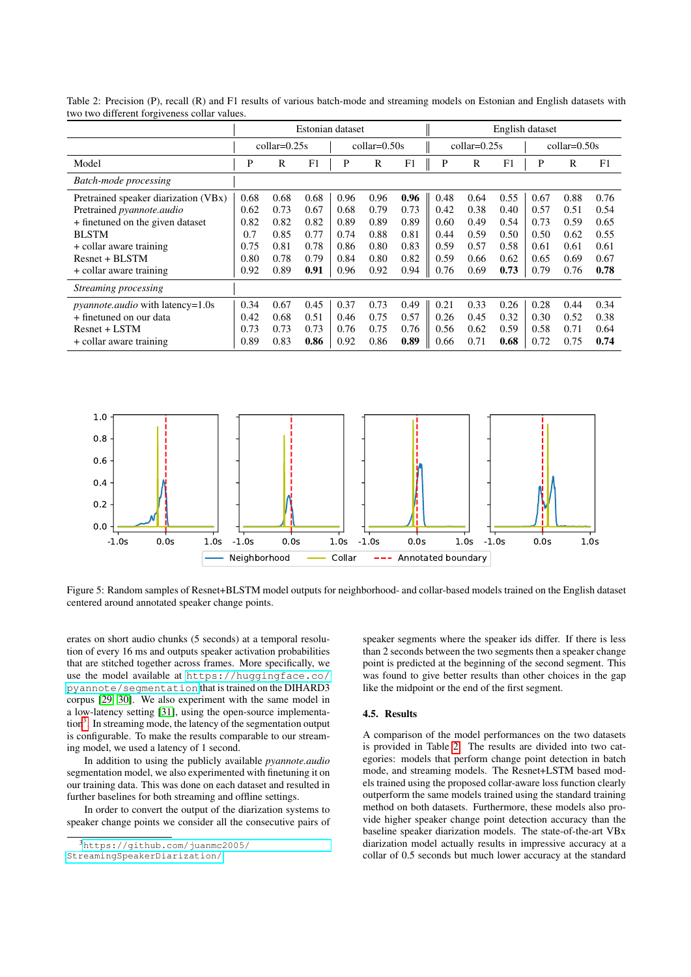|                                         | Estonian dataset |      |                |      |                              | English dataset |      |                |      |      |      |      |
|-----------------------------------------|------------------|------|----------------|------|------------------------------|-----------------|------|----------------|------|------|------|------|
|                                         | $collar=0.25s$   |      | $collar=0.50s$ |      | $\text{collar}=0.25\text{s}$ |                 |      | $collar=0.50s$ |      |      |      |      |
| Model                                   | P                | R    | F1             | P    | R                            | F1              | P    | R              | F1   | P    | R    | F1   |
| Batch-mode processing                   |                  |      |                |      |                              |                 |      |                |      |      |      |      |
| Pretrained speaker diarization (VBx)    | 0.68             | 0.68 | 0.68           | 0.96 | 0.96                         | 0.96            | 0.48 | 0.64           | 0.55 | 0.67 | 0.88 | 0.76 |
| Pretrained pyannote.audio               | 0.62             | 0.73 | 0.67           | 0.68 | 0.79                         | 0.73            | 0.42 | 0.38           | 0.40 | 0.57 | 0.51 | 0.54 |
| + finetuned on the given dataset        | 0.82             | 0.82 | 0.82           | 0.89 | 0.89                         | 0.89            | 0.60 | 0.49           | 0.54 | 0.73 | 0.59 | 0.65 |
| <b>BLSTM</b>                            | 0.7              | 0.85 | 0.77           | 0.74 | 0.88                         | 0.81            | 0.44 | 0.59           | 0.50 | 0.50 | 0.62 | 0.55 |
| + collar aware training                 | 0.75             | 0.81 | 0.78           | 0.86 | 0.80                         | 0.83            | 0.59 | 0.57           | 0.58 | 0.61 | 0.61 | 0.61 |
| Resnet + BLSTM                          | 0.80             | 0.78 | 0.79           | 0.84 | 0.80                         | 0.82            | 0.59 | 0.66           | 0.62 | 0.65 | 0.69 | 0.67 |
| + collar aware training                 | 0.92             | 0.89 | 0.91           | 0.96 | 0.92                         | 0.94            | 0.76 | 0.69           | 0.73 | 0.79 | 0.76 | 0.78 |
| Streaming processing                    |                  |      |                |      |                              |                 |      |                |      |      |      |      |
| <i>pyannote.audio</i> with latency=1.0s | 0.34             | 0.67 | 0.45           | 0.37 | 0.73                         | 0.49            | 0.21 | 0.33           | 0.26 | 0.28 | 0.44 | 0.34 |
| + finetuned on our data                 | 0.42             | 0.68 | 0.51           | 0.46 | 0.75                         | 0.57            | 0.26 | 0.45           | 0.32 | 0.30 | 0.52 | 0.38 |
| $Resnet + LSTM$                         | 0.73             | 0.73 | 0.73           | 0.76 | 0.75                         | 0.76            | 0.56 | 0.62           | 0.59 | 0.58 | 0.71 | 0.64 |
| + collar aware training                 | 0.89             | 0.83 | 0.86           | 0.92 | 0.86                         | 0.89            | 0.66 | 0.71           | 0.68 | 0.72 | 0.75 | 0.74 |

<span id="page-4-1"></span>Table 2: Precision (P), recall (R) and F1 results of various batch-mode and streaming models on Estonian and English datasets with two two different forgiveness collar values.



<span id="page-4-2"></span>Figure 5: Random samples of Resnet+BLSTM model outputs for neighborhood- and collar-based models trained on the English dataset centered around annotated speaker change points.

erates on short audio chunks (5 seconds) at a temporal resolution of every 16 ms and outputs speaker activation probabilities that are stitched together across frames. More specifically, we use the model available at [https://huggingface.co/](https://huggingface.co/pyannote/segmentation) [pyannote/segmentation](https://huggingface.co/pyannote/segmentation) that is trained on the DIHARD3 corpus [\[29,](#page-6-17) [30\]](#page-6-18). We also experiment with the same model in a low-latency setting [\[31\]](#page-6-19), using the open-source implementa-tion<sup>[3](#page-4-0)</sup>. In streaming mode, the latency of the segmentation output is configurable. To make the results comparable to our streaming model, we used a latency of 1 second.

In addition to using the publicly available *pyannote.audio* segmentation model, we also experimented with finetuning it on our training data. This was done on each dataset and resulted in further baselines for both streaming and offline settings.

In order to convert the output of the diarization systems to speaker change points we consider all the consecutive pairs of speaker segments where the speaker ids differ. If there is less than 2 seconds between the two segments then a speaker change point is predicted at the beginning of the second segment. This was found to give better results than other choices in the gap like the midpoint or the end of the first segment.

## 4.5. Results

A comparison of the model performances on the two datasets is provided in Table [2.](#page-4-1) The results are divided into two categories: models that perform change point detection in batch mode, and streaming models. The Resnet+LSTM based models trained using the proposed collar-aware loss function clearly outperform the same models trained using the standard training method on both datasets. Furthermore, these models also provide higher speaker change point detection accuracy than the baseline speaker diarization models. The state-of-the-art VBx diarization model actually results in impressive accuracy at a collar of 0.5 seconds but much lower accuracy at the standard

<span id="page-4-0"></span><sup>3</sup>[https://github.com/juanmc2005/](https://github.com/juanmc2005/StreamingSpeakerDiarization/)

[StreamingSpeakerDiarization/](https://github.com/juanmc2005/StreamingSpeakerDiarization/)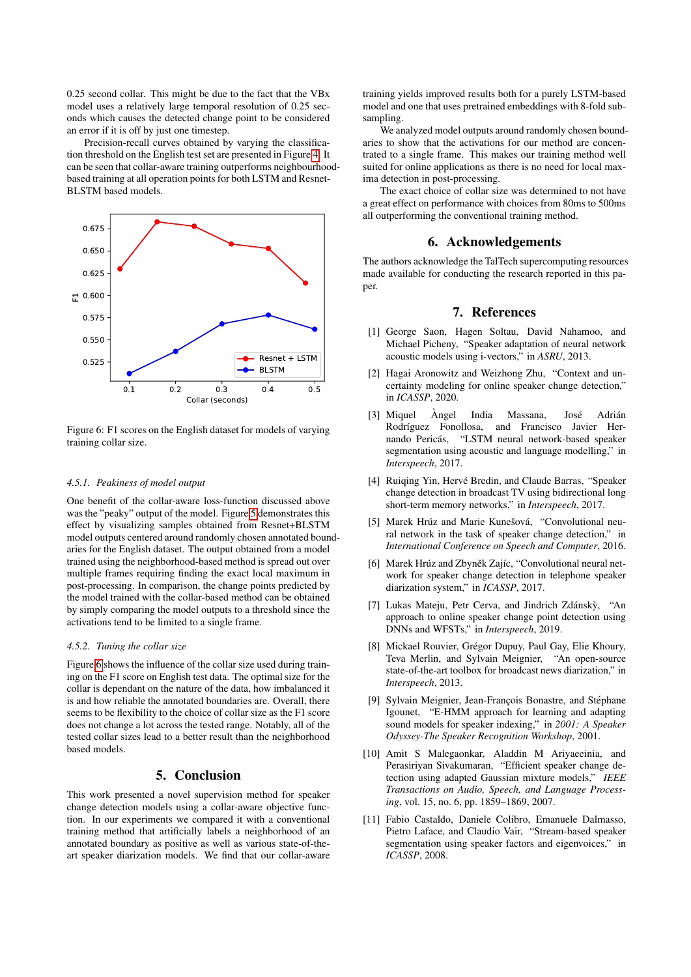0.25 second collar. This might be due to the fact that the VBx model uses a relatively large temporal resolution of 0.25 seconds which causes the detected change point to be considered an error if it is off by just one timestep.

Precision-recall curves obtained by varying the classification threshold on the English test set are presented in Figure [4.](#page-3-2) It can be seen that collar-aware training outperforms neighbourhoodbased training at all operation points for both LSTM and Resnet-BLSTM based models.



<span id="page-5-13"></span>Figure 6: F1 scores on the English dataset for models of varying training collar size.

#### <span id="page-5-11"></span>*4.5.1. Peakiness of model output*

One benefit of the collar-aware loss-function discussed above was the "peaky" output of the model. Figure [5](#page-4-2) demonstrates this effect by visualizing samples obtained from Resnet+BLSTM model outputs centered around randomly chosen annotated boundaries for the English dataset. The output obtained from a model trained using the neighborhood-based method is spread out over multiple frames requiring finding the exact local maximum in post-processing. In comparison, the change points predicted by the model trained with the collar-based method can be obtained by simply comparing the model outputs to a threshold since the activations tend to be limited to a single frame.

### <span id="page-5-12"></span>*4.5.2. Tuning the collar size*

Figure [6](#page-5-13) shows the influence of the collar size used during training on the F1 score on English test data. The optimal size for the collar is dependant on the nature of the data, how imbalanced it is and how reliable the annotated boundaries are. Overall, there seems to be flexibility to the choice of collar size as the F1 score does not change a lot across the tested range. Notably, all of the tested collar sizes lead to a better result than the neighborhood based models.

# 5. Conclusion

This work presented a novel supervision method for speaker change detection models using a collar-aware objective function. In our experiments we compared it with a conventional training method that artificially labels a neighborhood of an annotated boundary as positive as well as various state-of-theart speaker diarization models. We find that our collar-aware training yields improved results both for a purely LSTM-based model and one that uses pretrained embeddings with 8-fold subsampling.

We analyzed model outputs around randomly chosen boundaries to show that the activations for our method are concentrated to a single frame. This makes our training method well suited for online applications as there is no need for local maxima detection in post-processing.

The exact choice of collar size was determined to not have a great effect on performance with choices from 80ms to 500ms all outperforming the conventional training method.

# 6. Acknowledgements

The authors acknowledge the TalTech supercomputing resources made available for conducting the research reported in this paper.

# 7. References

- <span id="page-5-0"></span>[1] George Saon, Hagen Soltau, David Nahamoo, and Michael Picheny, "Speaker adaptation of neural network acoustic models using i-vectors," in *ASRU*, 2013.
- <span id="page-5-1"></span>[2] Hagai Aronowitz and Weizhong Zhu, "Context and uncertainty modeling for online speaker change detection," in *ICASSP*, 2020.
- <span id="page-5-2"></span>[3] Miquel Àngel India Massana, José Adrián Rodríguez Fonollosa, and Francisco Javier Hernando Pericás, "LSTM neural network-based speaker segmentation using acoustic and language modelling," in *Interspeech*, 2017.
- <span id="page-5-3"></span>[4] Ruiqing Yin, Hervé Bredin, and Claude Barras, "Speaker change detection in broadcast TV using bidirectional long short-term memory networks," in *Interspeech*, 2017.
- <span id="page-5-4"></span>[5] Marek Hrúz and Marie Kunešová, "Convolutional neural network in the task of speaker change detection," in *International Conference on Speech and Computer*, 2016.
- <span id="page-5-5"></span>[6] Marek Hrúz and Zbyněk Zajíc, "Convolutional neural network for speaker change detection in telephone speaker diarization system," in *ICASSP*, 2017.
- <span id="page-5-6"></span>[7] Lukas Mateju, Petr Cerva, and Jindrich Zdánskỳ, "An approach to online speaker change point detection using DNNs and WFSTs," in *Interspeech*, 2019.
- <span id="page-5-7"></span>[8] Mickael Rouvier, Grégor Dupuy, Paul Gay, Elie Khoury, Teva Merlin, and Sylvain Meignier, "An open-source state-of-the-art toolbox for broadcast news diarization," in *Interspeech*, 2013.
- <span id="page-5-8"></span>[9] Sylvain Meignier, Jean-François Bonastre, and Stéphane Igounet, "E-HMM approach for learning and adapting sound models for speaker indexing," in *2001: A Speaker Odyssey-The Speaker Recognition Workshop*, 2001.
- <span id="page-5-9"></span>[10] Amit S Malegaonkar, Aladdin M Ariyaeeinia, and Perasiriyan Sivakumaran, "Efficient speaker change detection using adapted Gaussian mixture models," *IEEE Transactions on Audio, Speech, and Language Processing*, vol. 15, no. 6, pp. 1859–1869, 2007.
- <span id="page-5-10"></span>[11] Fabio Castaldo, Daniele Colibro, Emanuele Dalmasso, Pietro Laface, and Claudio Vair, "Stream-based speaker segmentation using speaker factors and eigenvoices," in *ICASSP*, 2008.